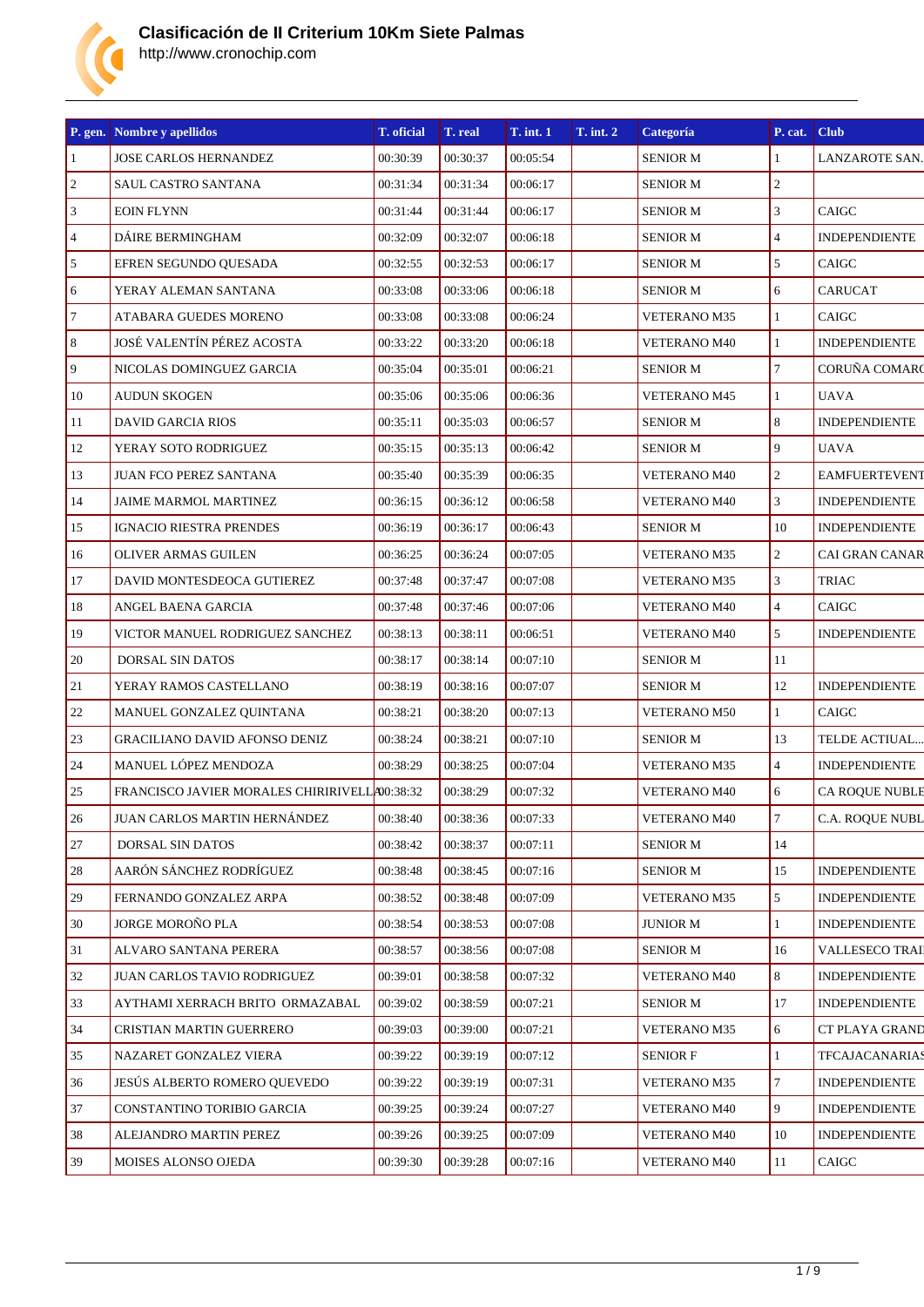

|                  | P. gen. Nombre y apellidos                     | T. oficial | T. real  | <b>T.</b> int. 1 | <b>T.</b> int. 2 | Categoría           | P. cat.        | <b>Club</b>           |
|------------------|------------------------------------------------|------------|----------|------------------|------------------|---------------------|----------------|-----------------------|
| $\vert$ 1        | <b>JOSE CARLOS HERNANDEZ</b>                   | 00:30:39   | 00:30:37 | 00:05:54         |                  | <b>SENIOR M</b>     | $\mathbf{1}$   | LANZAROTE SAN.        |
| $\sqrt{2}$       | SAUL CASTRO SANTANA                            | 00:31:34   | 00:31:34 | 00:06:17         |                  | <b>SENIOR M</b>     | $\overline{c}$ |                       |
| $\sqrt{3}$       | <b>EOIN FLYNN</b>                              | 00:31:44   | 00:31:44 | 00:06:17         |                  | <b>SENIOR M</b>     | $\mathfrak{Z}$ | <b>CAIGC</b>          |
| $\overline{4}$   | DÁIRE BERMINGHAM                               | 00:32:09   | 00:32:07 | 00:06:18         |                  | <b>SENIOR M</b>     | $\overline{4}$ | <b>INDEPENDIENTE</b>  |
| 5                | EFREN SEGUNDO QUESADA                          | 00:32:55   | 00:32:53 | 00:06:17         |                  | <b>SENIOR M</b>     | 5              | CAIGC                 |
| $\sqrt{6}$       | YERAY ALEMAN SANTANA                           | 00:33:08   | 00:33:06 | 00:06:18         |                  | <b>SENIOR M</b>     | 6              | <b>CARUCAT</b>        |
| $\boldsymbol{7}$ | ATABARA GUEDES MORENO                          | 00:33:08   | 00:33:08 | 00:06:24         |                  | VETERANO M35        | $\mathbf{1}$   | CAIGC                 |
| $\,8\,$          | JOSÉ VALENTÍN PÉREZ ACOSTA                     | 00:33:22   | 00:33:20 | 00:06:18         |                  | <b>VETERANO M40</b> | $\mathbf{1}$   | <b>INDEPENDIENTE</b>  |
| $\overline{9}$   | NICOLAS DOMINGUEZ GARCIA                       | 00:35:04   | 00:35:01 | 00:06:21         |                  | <b>SENIOR M</b>     | $\tau$         | CORUÑA COMARC         |
| 10               | <b>AUDUN SKOGEN</b>                            | 00:35:06   | 00:35:06 | 00:06:36         |                  | VETERANO M45        | $\mathbf{1}$   | <b>UAVA</b>           |
| 11               | DAVID GARCIA RIOS                              | 00:35:11   | 00:35:03 | 00:06:57         |                  | <b>SENIOR M</b>     | 8              | <b>INDEPENDIENTE</b>  |
| 12               | YERAY SOTO RODRIGUEZ                           | 00:35:15   | 00:35:13 | 00:06:42         |                  | <b>SENIOR M</b>     | 9              | <b>UAVA</b>           |
| 13               | <b>JUAN FCO PEREZ SANTANA</b>                  | 00:35:40   | 00:35:39 | 00:06:35         |                  | <b>VETERANO M40</b> | $\overline{c}$ | <b>EAMFUERTEVENT</b>  |
| 14               | JAIME MARMOL MARTINEZ                          | 00:36:15   | 00:36:12 | 00:06:58         |                  | <b>VETERANO M40</b> | 3              | <b>INDEPENDIENTE</b>  |
| 15               | IGNACIO RIESTRA PRENDES                        | 00:36:19   | 00:36:17 | 00:06:43         |                  | <b>SENIOR M</b>     | 10             | <b>INDEPENDIENTE</b>  |
| 16               | <b>OLIVER ARMAS GUILEN</b>                     | 00:36:25   | 00:36:24 | 00:07:05         |                  | VETERANO M35        | $\overline{c}$ | <b>CAI GRAN CANAR</b> |
| 17               | DAVID MONTESDEOCA GUTIEREZ                     | 00:37:48   | 00:37:47 | 00:07:08         |                  | VETERANO M35        | 3              | <b>TRIAC</b>          |
| 18               | ANGEL BAENA GARCIA                             | 00:37:48   | 00:37:46 | 00:07:06         |                  | <b>VETERANO M40</b> | $\overline{4}$ | CAIGC                 |
| 19               | VICTOR MANUEL RODRIGUEZ SANCHEZ                | 00:38:13   | 00:38:11 | 00:06:51         |                  | <b>VETERANO M40</b> | 5              | <b>INDEPENDIENTE</b>  |
| 20               | DORSAL SIN DATOS                               | 00:38:17   | 00:38:14 | 00:07:10         |                  | <b>SENIOR M</b>     | 11             |                       |
| $21\,$           | YERAY RAMOS CASTELLANO                         | 00:38:19   | 00:38:16 | 00:07:07         |                  | <b>SENIOR M</b>     | 12             | <b>INDEPENDIENTE</b>  |
| $22\,$           | MANUEL GONZALEZ QUINTANA                       | 00:38:21   | 00:38:20 | 00:07:13         |                  | VETERANO M50        | $\mathbf{1}$   | CAIGC                 |
| 23               | <b>GRACILIANO DAVID AFONSO DENIZ</b>           | 00:38:24   | 00:38:21 | 00:07:10         |                  | <b>SENIOR M</b>     | 13             | TELDE ACTIUAL         |
| 24               | MANUEL LÓPEZ MENDOZA                           | 00:38:29   | 00:38:25 | 00:07:04         |                  | <b>VETERANO M35</b> | $\overline{4}$ | <b>INDEPENDIENTE</b>  |
| 25               | FRANCISCO JAVIER MORALES CHIRIRIVELL 400:38:32 |            | 00:38:29 | 00:07:32         |                  | <b>VETERANO M40</b> | 6              | <b>CA ROQUE NUBLE</b> |
| <sup>26</sup>    | JUAN CARLOS MARTIN HERNÁNDEZ                   | 00:38:40   | 00:38:36 | 00:07:33         |                  | <b>VETERANO M40</b> | 7              | C.A. ROQUE NUBL       |
| $27\,$           | <b>DORSAL SIN DATOS</b>                        | 00:38:42   | 00:38:37 | 00:07:11         |                  | <b>SENIOR M</b>     | 14             |                       |
| 28               | AARÓN SÁNCHEZ RODRÍGUEZ                        | 00:38:48   | 00:38:45 | 00:07:16         |                  | <b>SENIOR M</b>     | 15             | <b>INDEPENDIENTE</b>  |
| 29               | FERNANDO GONZALEZ ARPA                         | 00:38:52   | 00:38:48 | 00:07:09         |                  | <b>VETERANO M35</b> | 5              | <b>INDEPENDIENTE</b>  |
| 30               | JORGE MOROÑO PLA                               | 00:38:54   | 00:38:53 | 00:07:08         |                  | <b>JUNIOR M</b>     | $\mathbf{1}$   | <b>INDEPENDIENTE</b>  |
| 31               | ALVARO SANTANA PERERA                          | 00:38:57   | 00:38:56 | 00:07:08         |                  | <b>SENIOR M</b>     | 16             | <b>VALLESECO TRAI</b> |
| 32               | JUAN CARLOS TAVIO RODRIGUEZ                    | 00:39:01   | 00:38:58 | 00:07:32         |                  | <b>VETERANO M40</b> | 8              | <b>INDEPENDIENTE</b>  |
| 33               | AYTHAMI XERRACH BRITO ORMAZABAL                | 00:39:02   | 00:38:59 | 00:07:21         |                  | <b>SENIOR M</b>     | 17             | <b>INDEPENDIENTE</b>  |
| 34               | CRISTIAN MARTIN GUERRERO                       | 00:39:03   | 00:39:00 | 00:07:21         |                  | <b>VETERANO M35</b> | 6              | CT PLAYA GRAND        |
| 35               | NAZARET GONZALEZ VIERA                         | 00:39:22   | 00:39:19 | 00:07:12         |                  | <b>SENIOR F</b>     | $\mathbf{1}$   | <b>TFCAJACANARIAS</b> |
| 36               | JESÚS ALBERTO ROMERO OUEVEDO                   | 00:39:22   | 00:39:19 | 00:07:31         |                  | VETERANO M35        | $\tau$         | <b>INDEPENDIENTE</b>  |
| 37               | CONSTANTINO TORIBIO GARCIA                     | 00:39:25   | 00:39:24 | 00:07:27         |                  | <b>VETERANO M40</b> | 9              | <b>INDEPENDIENTE</b>  |
| 38               | ALEJANDRO MARTIN PEREZ                         | 00:39:26   | 00:39:25 | 00:07:09         |                  | <b>VETERANO M40</b> | 10             | <b>INDEPENDIENTE</b>  |
| 39               | MOISES ALONSO OJEDA                            | 00:39:30   | 00:39:28 | 00:07:16         |                  | <b>VETERANO M40</b> | 11             | CAIGC                 |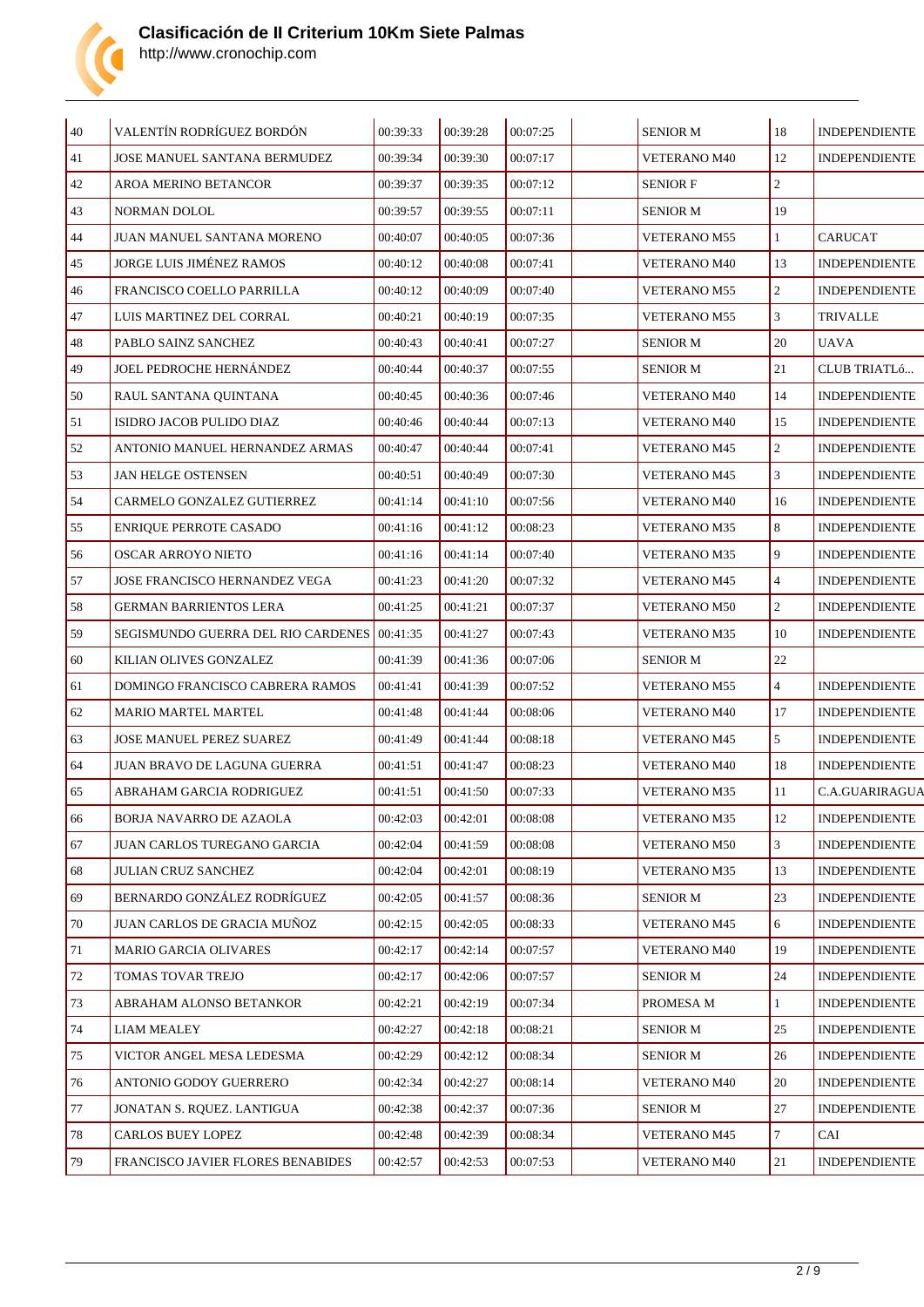

| $\vert$ 40 | VALENTÍN RODRÍGUEZ BORDÓN                   | 00:39:33 | 00:39:28 | 00:07:25 | <b>SENIOR M</b>     | 18             | <b>INDEPENDIENTE</b> |
|------------|---------------------------------------------|----------|----------|----------|---------------------|----------------|----------------------|
| 41         | JOSE MANUEL SANTANA BERMUDEZ                | 00:39:34 | 00:39:30 | 00:07:17 | <b>VETERANO M40</b> | 12             | <b>INDEPENDIENTE</b> |
| 42         | <b>AROA MERINO BETANCOR</b>                 | 00:39:37 | 00:39:35 | 00:07:12 | <b>SENIOR F</b>     | $\overline{c}$ |                      |
| 43         | NORMAN DOLOL                                | 00:39:57 | 00:39:55 | 00:07:11 | <b>SENIOR M</b>     | 19             |                      |
| 44         | JUAN MANUEL SANTANA MORENO                  | 00:40:07 | 00:40:05 | 00:07:36 | <b>VETERANO M55</b> | $\mathbf{1}$   | <b>CARUCAT</b>       |
| 45         | JORGE LUIS JIMÉNEZ RAMOS                    | 00:40:12 | 00:40:08 | 00:07:41 | <b>VETERANO M40</b> | 13             | <b>INDEPENDIENTE</b> |
| 46         | FRANCISCO COELLO PARRILLA                   | 00:40:12 | 00:40:09 | 00:07:40 | <b>VETERANO M55</b> | $\overline{2}$ | <b>INDEPENDIENTE</b> |
| 47         | LUIS MARTINEZ DEL CORRAL                    | 00:40:21 | 00:40:19 | 00:07:35 | <b>VETERANO M55</b> | 3              | TRIVALLE             |
| 48         | PABLO SAINZ SANCHEZ                         | 00:40:43 | 00:40:41 | 00:07:27 | <b>SENIOR M</b>     | 20             | <b>UAVA</b>          |
| 49         | <b>JOEL PEDROCHE HERNÁNDEZ</b>              | 00:40:44 | 00:40:37 | 00:07:55 | <b>SENIOR M</b>     | 21             | CLUB TRIATLÓ         |
| 50         | RAUL SANTANA QUINTANA                       | 00:40:45 | 00:40:36 | 00:07:46 | <b>VETERANO M40</b> | 14             | <b>INDEPENDIENTE</b> |
| 51         | ISIDRO JACOB PULIDO DIAZ                    | 00:40:46 | 00:40:44 | 00:07:13 | <b>VETERANO M40</b> | 15             | <b>INDEPENDIENTE</b> |
| 52         | ANTONIO MANUEL HERNANDEZ ARMAS              | 00:40:47 | 00:40:44 | 00:07:41 | <b>VETERANO M45</b> | $\overline{2}$ | <b>INDEPENDIENTE</b> |
| 53         | <b>JAN HELGE OSTENSEN</b>                   | 00:40:51 | 00:40:49 | 00:07:30 | <b>VETERANO M45</b> | 3              | <b>INDEPENDIENTE</b> |
| 54         | CARMELO GONZALEZ GUTIERREZ                  | 00:41:14 | 00:41:10 | 00:07:56 | <b>VETERANO M40</b> | 16             | <b>INDEPENDIENTE</b> |
| 55         | <b>ENRIQUE PERROTE CASADO</b>               | 00:41:16 | 00:41:12 | 00:08:23 | <b>VETERANO M35</b> | 8              | <b>INDEPENDIENTE</b> |
| 56         | OSCAR ARROYO NIETO                          | 00:41:16 | 00:41:14 | 00:07:40 | <b>VETERANO M35</b> | 9              | <b>INDEPENDIENTE</b> |
| 57         | JOSE FRANCISCO HERNANDEZ VEGA               | 00:41:23 | 00:41:20 | 00:07:32 | <b>VETERANO M45</b> | $\overline{4}$ | <b>INDEPENDIENTE</b> |
| 58         | <b>GERMAN BARRIENTOS LERA</b>               | 00:41:25 | 00:41:21 | 00:07:37 | <b>VETERANO M50</b> | $\overline{2}$ | <b>INDEPENDIENTE</b> |
| 59         | SEGISMUNDO GUERRA DEL RIO CARDENES 00:41:35 |          | 00:41:27 | 00:07:43 | VETERANO M35        | 10             | <b>INDEPENDIENTE</b> |
| 60         | KILIAN OLIVES GONZALEZ                      | 00:41:39 | 00:41:36 | 00:07:06 | <b>SENIOR M</b>     | 22             |                      |
| 61         | DOMINGO FRANCISCO CABRERA RAMOS             | 00:41:41 | 00:41:39 | 00:07:52 | <b>VETERANO M55</b> | $\overline{4}$ | <b>INDEPENDIENTE</b> |
| 62         | <b>MARIO MARTEL MARTEL</b>                  | 00:41:48 | 00:41:44 | 00:08:06 | <b>VETERANO M40</b> | 17             | <b>INDEPENDIENTE</b> |
| 63         | <b>JOSE MANUEL PEREZ SUAREZ</b>             | 00:41:49 | 00:41:44 | 00:08:18 | <b>VETERANO M45</b> | 5              | <b>INDEPENDIENTE</b> |
| 64         | <b>JUAN BRAVO DE LAGUNA GUERRA</b>          | 00:41:51 | 00:41:47 | 00:08:23 | <b>VETERANO M40</b> | 18             | <b>INDEPENDIENTE</b> |
| 65         | ABRAHAM GARCIA RODRIGUEZ                    | 00:41:51 | 00:41:50 | 00:07:33 | <b>VETERANO M35</b> | 11             | C.A.GUARIRAGUA       |
| 66         | BORJA NAVARRO DE AZAOLA                     | 00:42:03 | 00:42:01 | 00:08:08 | VETERANO M35        | 12             | <b>INDEPENDIENTE</b> |
| 67         | JUAN CARLOS TUREGANO GARCIA                 | 00:42:04 | 00:41:59 | 00:08:08 | VETERANO M50        | $\mathbf{3}$   | <b>INDEPENDIENTE</b> |
| 68         | <b>JULIAN CRUZ SANCHEZ</b>                  | 00:42:04 | 00:42:01 | 00:08:19 | VETERANO M35        | 13             | <b>INDEPENDIENTE</b> |
| 69         | BERNARDO GONZÁLEZ RODRÍGUEZ                 | 00:42:05 | 00:41:57 | 00:08:36 | <b>SENIOR M</b>     | 23             | <b>INDEPENDIENTE</b> |
| 70         | JUAN CARLOS DE GRACIA MUÑOZ                 | 00:42:15 | 00:42:05 | 00:08:33 | <b>VETERANO M45</b> | 6              | <b>INDEPENDIENTE</b> |
| 71         | <b>MARIO GARCIA OLIVARES</b>                | 00:42:17 | 00:42:14 | 00:07:57 | <b>VETERANO M40</b> | 19             | <b>INDEPENDIENTE</b> |
| 72         | TOMAS TOVAR TREJO                           | 00:42:17 | 00:42:06 | 00:07:57 | <b>SENIOR M</b>     | 24             | <b>INDEPENDIENTE</b> |
| 73         | ABRAHAM ALONSO BETANKOR                     | 00:42:21 | 00:42:19 | 00:07:34 | PROMESA M           | $\mathbf{1}$   | <b>INDEPENDIENTE</b> |
| 74         | <b>LIAM MEALEY</b>                          | 00:42:27 | 00:42:18 | 00:08:21 | <b>SENIOR M</b>     | 25             | <b>INDEPENDIENTE</b> |
| 75         | VICTOR ANGEL MESA LEDESMA                   | 00:42:29 | 00:42:12 | 00:08:34 | <b>SENIOR M</b>     | 26             | <b>INDEPENDIENTE</b> |
| 76         | ANTONIO GODOY GUERRERO                      | 00:42:34 | 00:42:27 | 00:08:14 | VETERANO M40        | 20             | <b>INDEPENDIENTE</b> |
| 77         | JONATAN S. RQUEZ. LANTIGUA                  | 00:42:38 | 00:42:37 | 00:07:36 | <b>SENIOR M</b>     | 27             | <b>INDEPENDIENTE</b> |
| 78         | <b>CARLOS BUEY LOPEZ</b>                    | 00:42:48 | 00:42:39 | 00:08:34 | <b>VETERANO M45</b> | $\tau$         | CAI                  |
| 79         | FRANCISCO JAVIER FLORES BENABIDES           | 00:42:57 | 00:42:53 | 00:07:53 | VETERANO M40        | $21\,$         | <b>INDEPENDIENTE</b> |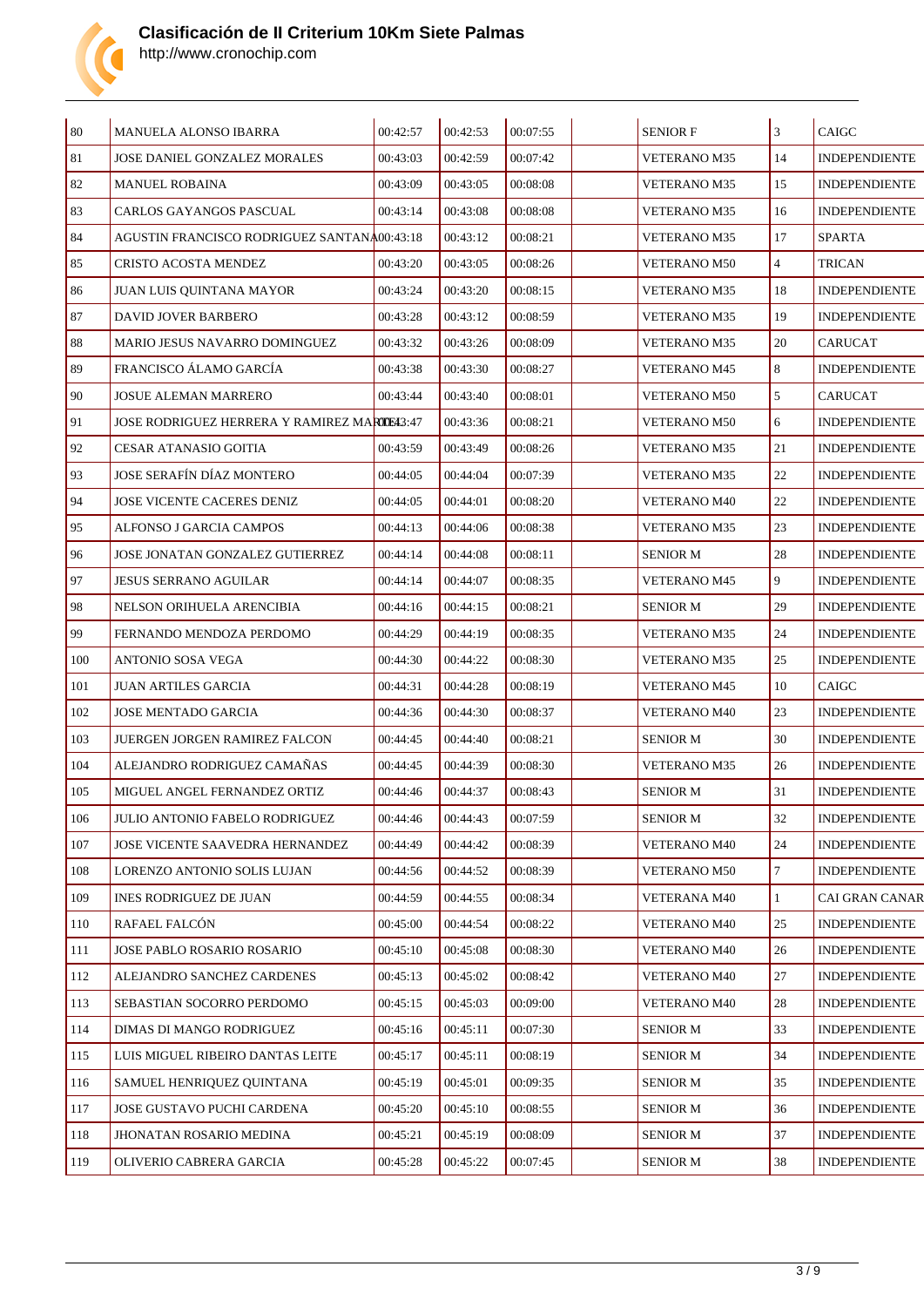

| $80\,$ | <b>MANUELA ALONSO IBARRA</b>                       | 00:42:57 | 00:42:53 | 00:07:55 | <b>SENIOR F</b>     | 3              | <b>CAIGC</b>          |
|--------|----------------------------------------------------|----------|----------|----------|---------------------|----------------|-----------------------|
| 81     | JOSE DANIEL GONZALEZ MORALES                       | 00:43:03 | 00:42:59 | 00:07:42 | <b>VETERANO M35</b> | 14             | <b>INDEPENDIENTE</b>  |
| 82     | <b>MANUEL ROBAINA</b>                              | 00:43:09 | 00:43:05 | 00:08:08 | <b>VETERANO M35</b> | 15             | <b>INDEPENDIENTE</b>  |
| 83     | CARLOS GAYANGOS PASCUAL                            | 00:43:14 | 00:43:08 | 00:08:08 | <b>VETERANO M35</b> | 16             | <b>INDEPENDIENTE</b>  |
| 84     | AGUSTIN FRANCISCO RODRIGUEZ SANTANA00:43:18        |          | 00:43:12 | 00:08:21 | <b>VETERANO M35</b> | 17             | <b>SPARTA</b>         |
| 85     | CRISTO ACOSTA MENDEZ                               | 00:43:20 | 00:43:05 | 00:08:26 | <b>VETERANO M50</b> | $\overline{4}$ | <b>TRICAN</b>         |
| 86     | JUAN LUIS QUINTANA MAYOR                           | 00:43:24 | 00:43:20 | 00:08:15 | <b>VETERANO M35</b> | 18             | <b>INDEPENDIENTE</b>  |
| 87     | <b>DAVID JOVER BARBERO</b>                         | 00:43:28 | 00:43:12 | 00:08:59 | <b>VETERANO M35</b> | 19             | <b>INDEPENDIENTE</b>  |
| 88     | MARIO JESUS NAVARRO DOMINGUEZ                      | 00:43:32 | 00:43:26 | 00:08:09 | <b>VETERANO M35</b> | 20             | <b>CARUCAT</b>        |
| 89     | FRANCISCO ÁLAMO GARCÍA                             | 00:43:38 | 00:43:30 | 00:08:27 | <b>VETERANO M45</b> | 8              | <b>INDEPENDIENTE</b>  |
| 90     | <b>JOSUE ALEMAN MARRERO</b>                        | 00:43:44 | 00:43:40 | 00:08:01 | <b>VETERANO M50</b> | 5              | <b>CARUCAT</b>        |
| 91     | <b>JOSE RODRIGUEZ HERRERA Y RAMIREZ MARTE43:47</b> |          | 00:43:36 | 00:08:21 | <b>VETERANO M50</b> | 6              | <b>INDEPENDIENTE</b>  |
| 92     | <b>CESAR ATANASIO GOITIA</b>                       | 00:43:59 | 00:43:49 | 00:08:26 | <b>VETERANO M35</b> | 21             | <b>INDEPENDIENTE</b>  |
| 93     | JOSE SERAFÍN DÍAZ MONTERO                          | 00:44:05 | 00:44:04 | 00:07:39 | <b>VETERANO M35</b> | 22             | <b>INDEPENDIENTE</b>  |
| 94     | JOSE VICENTE CACERES DENIZ                         | 00:44:05 | 00:44:01 | 00:08:20 | <b>VETERANO M40</b> | 22             | <b>INDEPENDIENTE</b>  |
| 95     | ALFONSO J GARCIA CAMPOS                            | 00:44:13 | 00:44:06 | 00:08:38 | <b>VETERANO M35</b> | 23             | <b>INDEPENDIENTE</b>  |
| 96     | JOSE JONATAN GONZALEZ GUTIERREZ                    | 00:44:14 | 00:44:08 | 00:08:11 | SENIOR M            | 28             | <b>INDEPENDIENTE</b>  |
| 97     | <b>JESUS SERRANO AGUILAR</b>                       | 00:44:14 | 00:44:07 | 00:08:35 | <b>VETERANO M45</b> | 9              | <b>INDEPENDIENTE</b>  |
| 98     | NELSON ORIHUELA ARENCIBIA                          | 00:44:16 | 00:44:15 | 00:08:21 | SENIOR M            | 29             | <b>INDEPENDIENTE</b>  |
| 99     | FERNANDO MENDOZA PERDOMO                           | 00:44:29 | 00:44:19 | 00:08:35 | <b>VETERANO M35</b> | 24             | <b>INDEPENDIENTE</b>  |
| 100    | ANTONIO SOSA VEGA                                  | 00:44:30 | 00:44:22 | 00:08:30 | <b>VETERANO M35</b> | 25             | <b>INDEPENDIENTE</b>  |
| 101    | <b>JUAN ARTILES GARCIA</b>                         | 00:44:31 | 00:44:28 | 00:08:19 | <b>VETERANO M45</b> | 10             | CAIGC                 |
| 102    | JOSE MENTADO GARCIA                                | 00:44:36 | 00:44:30 | 00:08:37 | <b>VETERANO M40</b> | 23             | <b>INDEPENDIENTE</b>  |
| 103    | <b>JUERGEN JORGEN RAMIREZ FALCON</b>               | 00:44:45 | 00:44:40 | 00:08:21 | <b>SENIOR M</b>     | 30             | <b>INDEPENDIENTE</b>  |
| 104    | ALEJANDRO RODRIGUEZ CAMAÑAS                        | 00:44:45 | 00:44:39 | 00:08:30 | <b>VETERANO M35</b> | 26             | <b>INDEPENDIENTE</b>  |
| 105    | MIGUEL ANGEL FERNANDEZ ORTIZ                       | 00:44:46 | 00:44:37 | 00:08:43 | SENIOR M            | 31             | <b>INDEPENDIENTE</b>  |
| 106    | JULIO ANTONIO FABELO RODRIGUEZ                     | 00:44:46 | 00:44:43 | 00:07:59 | SENIOR M            | 32             | <b>INDEPENDIENTE</b>  |
| 107    | JOSE VICENTE SAAVEDRA HERNANDEZ                    | 00:44:49 | 00:44:42 | 00:08:39 | <b>VETERANO M40</b> | 24             | <b>INDEPENDIENTE</b>  |
| 108    | LORENZO ANTONIO SOLIS LUJAN                        | 00:44:56 | 00:44:52 | 00:08:39 | <b>VETERANO M50</b> | $\tau$         | <b>INDEPENDIENTE</b>  |
| 109    | INES RODRIGUEZ DE JUAN                             | 00:44:59 | 00:44:55 | 00:08:34 | <b>VETERANA M40</b> | $\mathbf{1}$   | <b>CAI GRAN CANAR</b> |
| 110    | RAFAEL FALCÓN                                      | 00:45:00 | 00:44:54 | 00:08:22 | <b>VETERANO M40</b> | 25             | <b>INDEPENDIENTE</b>  |
| 111    | JOSE PABLO ROSARIO ROSARIO                         | 00:45:10 | 00:45:08 | 00:08:30 | <b>VETERANO M40</b> | 26             | <b>INDEPENDIENTE</b>  |
| 112    | ALEJANDRO SANCHEZ CARDENES                         | 00:45:13 | 00:45:02 | 00:08:42 | <b>VETERANO M40</b> | 27             | <b>INDEPENDIENTE</b>  |
| 113    | SEBASTIAN SOCORRO PERDOMO                          | 00:45:15 | 00:45:03 | 00:09:00 | <b>VETERANO M40</b> | 28             | <b>INDEPENDIENTE</b>  |
| 114    | DIMAS DI MANGO RODRIGUEZ                           | 00:45:16 | 00:45:11 | 00:07:30 | SENIOR M            | 33             | <b>INDEPENDIENTE</b>  |
| 115    | LUIS MIGUEL RIBEIRO DANTAS LEITE                   | 00:45:17 | 00:45:11 | 00:08:19 | <b>SENIOR M</b>     | 34             | <b>INDEPENDIENTE</b>  |
| 116    | SAMUEL HENRIQUEZ QUINTANA                          | 00:45:19 | 00:45:01 | 00:09:35 | SENIOR M            | 35             | <b>INDEPENDIENTE</b>  |
| 117    | JOSE GUSTAVO PUCHI CARDENA                         | 00:45:20 | 00:45:10 | 00:08:55 | <b>SENIOR M</b>     | 36             | <b>INDEPENDIENTE</b>  |
| 118    | JHONATAN ROSARIO MEDINA                            | 00:45:21 | 00:45:19 | 00:08:09 | <b>SENIOR M</b>     | 37             | <b>INDEPENDIENTE</b>  |
| 119    | OLIVERIO CABRERA GARCIA                            | 00:45:28 | 00:45:22 | 00:07:45 | <b>SENIOR M</b>     | 38             | <b>INDEPENDIENTE</b>  |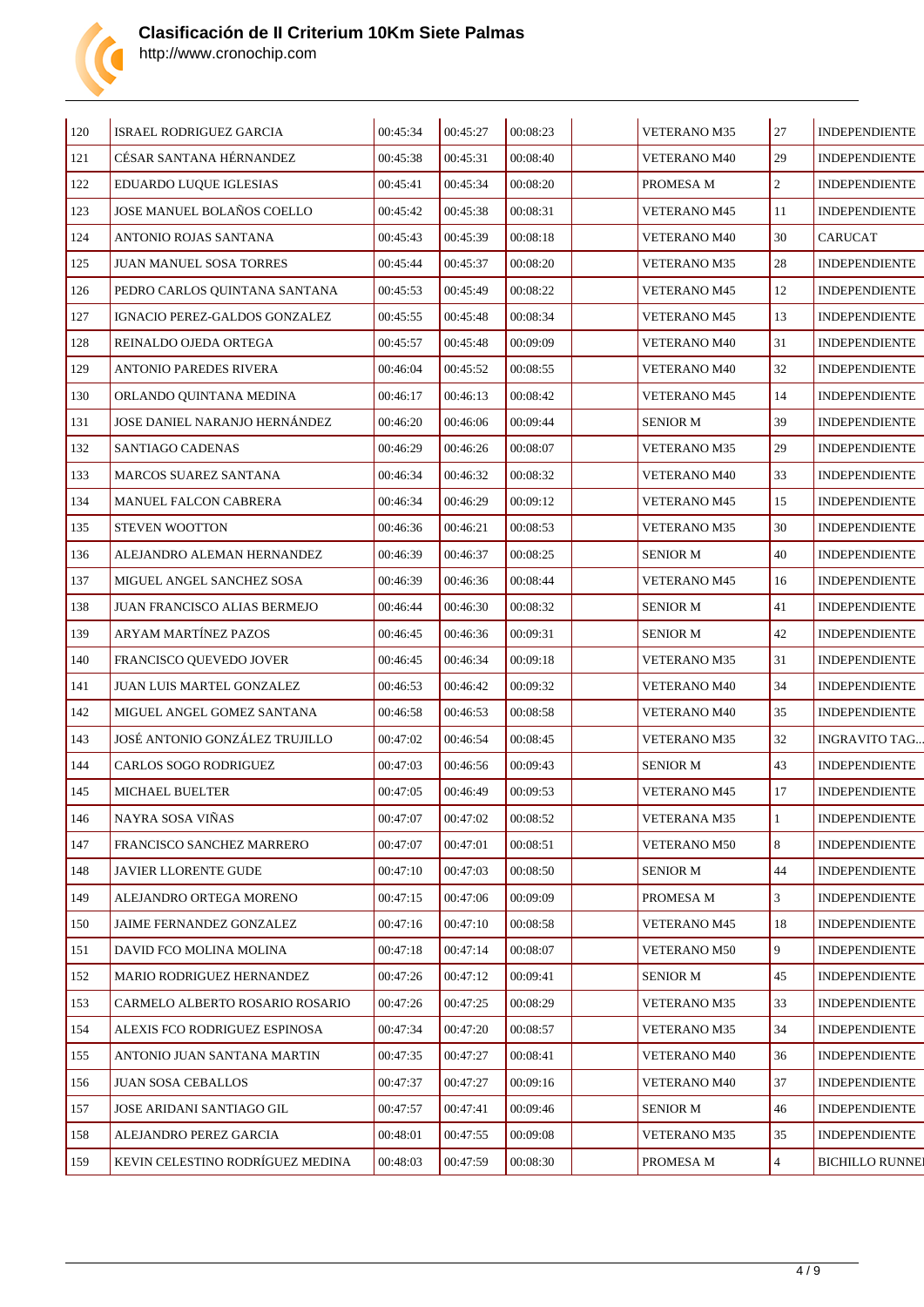

| 120 | ISRAEL RODRIGUEZ GARCIA          | 00:45:34 | 00:45:27 | 00:08:23 | VETERANO M35        | 27             | <b>INDEPENDIENTE</b>   |
|-----|----------------------------------|----------|----------|----------|---------------------|----------------|------------------------|
| 121 | CÉSAR SANTANA HÉRNANDEZ          | 00:45:38 | 00:45:31 | 00:08:40 | <b>VETERANO M40</b> | 29             | <b>INDEPENDIENTE</b>   |
| 122 | EDUARDO LUQUE IGLESIAS           | 00:45:41 | 00:45:34 | 00:08:20 | PROMESA M           | $\overline{2}$ | <b>INDEPENDIENTE</b>   |
| 123 | JOSE MANUEL BOLAÑOS COELLO       | 00:45:42 | 00:45:38 | 00:08:31 | <b>VETERANO M45</b> | 11             | <b>INDEPENDIENTE</b>   |
| 124 | ANTONIO ROJAS SANTANA            | 00:45:43 | 00:45:39 | 00:08:18 | VETERANO M40        | 30             | <b>CARUCAT</b>         |
| 125 | JUAN MANUEL SOSA TORRES          | 00:45:44 | 00:45:37 | 00:08:20 | <b>VETERANO M35</b> | 28             | <b>INDEPENDIENTE</b>   |
| 126 | PEDRO CARLOS QUINTANA SANTANA    | 00:45:53 | 00:45:49 | 00:08:22 | <b>VETERANO M45</b> | 12             | <b>INDEPENDIENTE</b>   |
| 127 | IGNACIO PEREZ-GALDOS GONZALEZ    | 00:45:55 | 00:45:48 | 00:08:34 | <b>VETERANO M45</b> | 13             | <b>INDEPENDIENTE</b>   |
| 128 | REINALDO OJEDA ORTEGA            | 00:45:57 | 00:45:48 | 00:09:09 | VETERANO M40        | 31             | <b>INDEPENDIENTE</b>   |
| 129 | ANTONIO PAREDES RIVERA           | 00:46:04 | 00:45:52 | 00:08:55 | <b>VETERANO M40</b> | 32             | <b>INDEPENDIENTE</b>   |
| 130 | ORLANDO QUINTANA MEDINA          | 00:46:17 | 00:46:13 | 00:08:42 | VETERANO M45        | 14             | <b>INDEPENDIENTE</b>   |
| 131 | JOSE DANIEL NARANJO HERNÁNDEZ    | 00:46:20 | 00:46:06 | 00:09:44 | <b>SENIOR M</b>     | 39             | <b>INDEPENDIENTE</b>   |
| 132 | SANTIAGO CADENAS                 | 00:46:29 | 00:46:26 | 00:08:07 | <b>VETERANO M35</b> | 29             | <b>INDEPENDIENTE</b>   |
| 133 | MARCOS SUAREZ SANTANA            | 00:46:34 | 00:46:32 | 00:08:32 | VETERANO M40        | 33             | <b>INDEPENDIENTE</b>   |
| 134 | MANUEL FALCON CABRERA            | 00:46:34 | 00:46:29 | 00:09:12 | <b>VETERANO M45</b> | 15             | <b>INDEPENDIENTE</b>   |
| 135 | STEVEN WOOTTON                   | 00:46:36 | 00:46:21 | 00:08:53 | <b>VETERANO M35</b> | 30             | <b>INDEPENDIENTE</b>   |
| 136 | ALEJANDRO ALEMAN HERNANDEZ       | 00:46:39 | 00:46:37 | 00:08:25 | <b>SENIOR M</b>     | 40             | <b>INDEPENDIENTE</b>   |
| 137 | MIGUEL ANGEL SANCHEZ SOSA        | 00:46:39 | 00:46:36 | 00:08:44 | <b>VETERANO M45</b> | 16             | <b>INDEPENDIENTE</b>   |
| 138 | JUAN FRANCISCO ALIAS BERMEJO     | 00:46:44 | 00:46:30 | 00:08:32 | <b>SENIOR M</b>     | 41             | <b>INDEPENDIENTE</b>   |
| 139 | ARYAM MARTÍNEZ PAZOS             | 00:46:45 | 00:46:36 | 00:09:31 | <b>SENIOR M</b>     | 42             | <b>INDEPENDIENTE</b>   |
| 140 | FRANCISCO QUEVEDO JOVER          | 00:46:45 | 00:46:34 | 00:09:18 | <b>VETERANO M35</b> | 31             | <b>INDEPENDIENTE</b>   |
| 141 | JUAN LUIS MARTEL GONZALEZ        | 00:46:53 | 00:46:42 | 00:09:32 | <b>VETERANO M40</b> | 34             | <b>INDEPENDIENTE</b>   |
| 142 | MIGUEL ANGEL GOMEZ SANTANA       | 00:46:58 | 00:46:53 | 00:08:58 | VETERANO M40        | 35             | <b>INDEPENDIENTE</b>   |
| 143 | JOSÉ ANTONIO GONZÁLEZ TRUJILLO   | 00:47:02 | 00:46:54 | 00:08:45 | <b>VETERANO M35</b> | 32             | <b>INGRAVITO TAG</b>   |
| 144 | CARLOS SOGO RODRIGUEZ            | 00:47:03 | 00:46:56 | 00:09:43 | <b>SENIOR M</b>     | 43             | <b>INDEPENDIENTE</b>   |
| 145 | <b>MICHAEL BUELTER</b>           | 00:47:05 | 00:46:49 | 00:09:53 | <b>VETERANO M45</b> | 17             | <b>INDEPENDIENTE</b>   |
| 146 | NAYRA SOSA VINAS                 | 00:47:07 | 00:47:02 | 00:08:52 | <b>VETERANA M35</b> | $\mathbf{1}$   | <b>INDEPENDIENTE</b>   |
| 147 | FRANCISCO SANCHEZ MARRERO        | 00:47:07 | 00:47:01 | 00:08:51 | <b>VETERANO M50</b> | 8              | <b>INDEPENDIENTE</b>   |
| 148 | JAVIER LLORENTE GUDE             | 00:47:10 | 00:47:03 | 00:08:50 | <b>SENIOR M</b>     | 44             | <b>INDEPENDIENTE</b>   |
| 149 | ALEJANDRO ORTEGA MORENO          | 00:47:15 | 00:47:06 | 00:09:09 | PROMESA M           | 3              | <b>INDEPENDIENTE</b>   |
| 150 | JAIME FERNANDEZ GONZALEZ         | 00:47:16 | 00:47:10 | 00:08:58 | VETERANO M45        | 18             | <b>INDEPENDIENTE</b>   |
| 151 | DAVID FCO MOLINA MOLINA          | 00:47:18 | 00:47:14 | 00:08:07 | <b>VETERANO M50</b> | 9              | <b>INDEPENDIENTE</b>   |
| 152 | MARIO RODRIGUEZ HERNANDEZ        | 00:47:26 | 00:47:12 | 00:09:41 | <b>SENIOR M</b>     | 45             | <b>INDEPENDIENTE</b>   |
| 153 | CARMELO ALBERTO ROSARIO ROSARIO  | 00:47:26 | 00:47:25 | 00:08:29 | <b>VETERANO M35</b> | 33             | <b>INDEPENDIENTE</b>   |
| 154 | ALEXIS FCO RODRIGUEZ ESPINOSA    | 00:47:34 | 00:47:20 | 00:08:57 | <b>VETERANO M35</b> | 34             | <b>INDEPENDIENTE</b>   |
| 155 | ANTONIO JUAN SANTANA MARTIN      | 00:47:35 | 00:47:27 | 00:08:41 | VETERANO M40        | 36             | <b>INDEPENDIENTE</b>   |
| 156 | <b>JUAN SOSA CEBALLOS</b>        | 00:47:37 | 00:47:27 | 00:09:16 | <b>VETERANO M40</b> | 37             | <b>INDEPENDIENTE</b>   |
| 157 | JOSE ARIDANI SANTIAGO GIL        | 00:47:57 | 00:47:41 | 00:09:46 | <b>SENIOR M</b>     | 46             | <b>INDEPENDIENTE</b>   |
| 158 | ALEJANDRO PEREZ GARCIA           | 00:48:01 | 00:47:55 | 00:09:08 | <b>VETERANO M35</b> | 35             | <b>INDEPENDIENTE</b>   |
| 159 | KEVIN CELESTINO RODRÍGUEZ MEDINA | 00:48:03 | 00:47:59 | 00:08:30 | PROMESA M           | $\overline{4}$ | <b>BICHILLO RUNNEI</b> |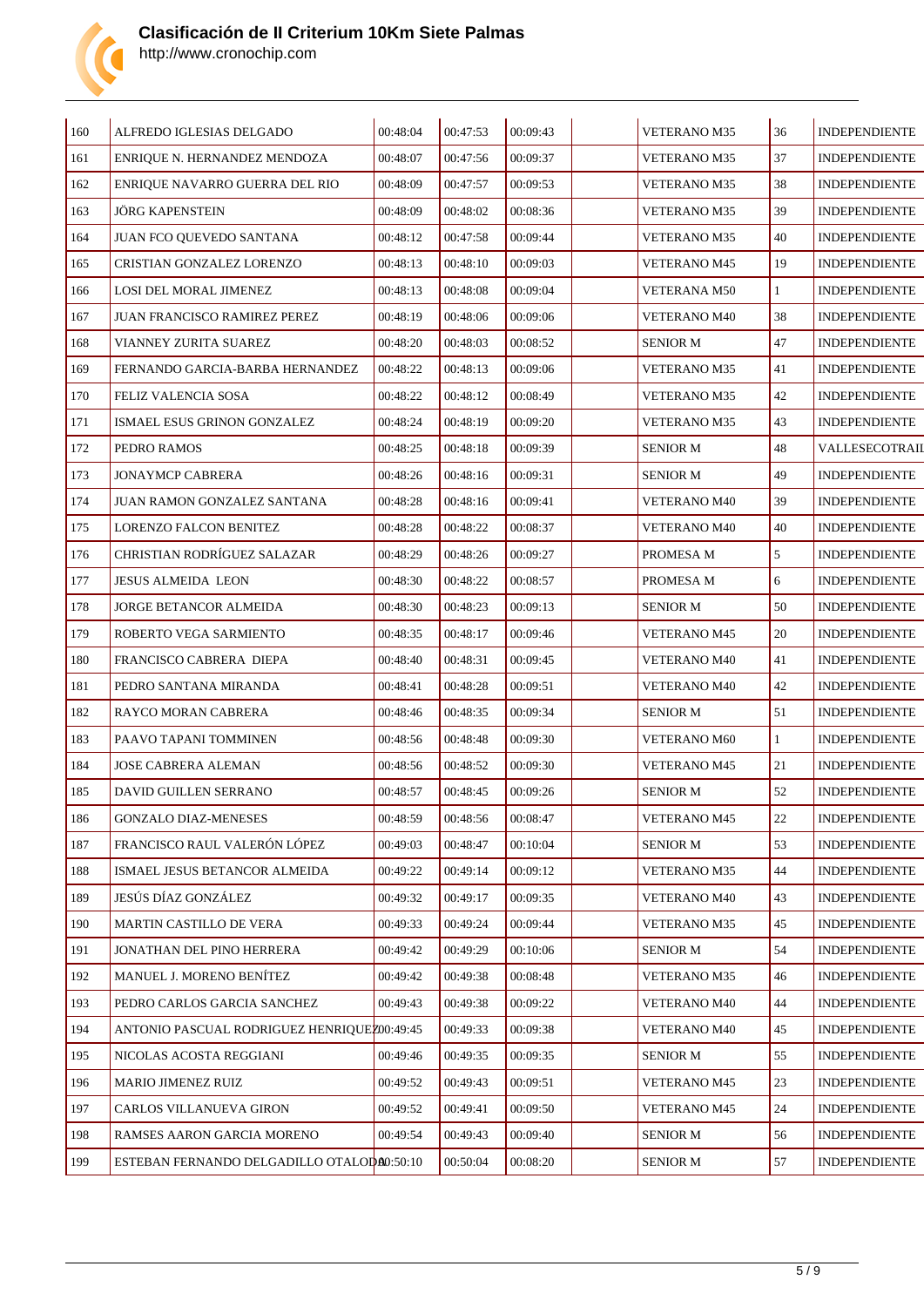

| 160 | ALFREDO IGLESIAS DELGADO                    | 00:48:04 | 00:47:53 | 00:09:43 | VETERANO M35        | 36           | <b>INDEPENDIENTE</b> |
|-----|---------------------------------------------|----------|----------|----------|---------------------|--------------|----------------------|
| 161 | ENRIQUE N. HERNANDEZ MENDOZA                | 00:48:07 | 00:47:56 | 00:09:37 | <b>VETERANO M35</b> | 37           | <b>INDEPENDIENTE</b> |
| 162 | ENRIQUE NAVARRO GUERRA DEL RIO              | 00:48:09 | 00:47:57 | 00:09:53 | <b>VETERANO M35</b> | 38           | <b>INDEPENDIENTE</b> |
| 163 | JÖRG KAPENSTEIN                             | 00:48:09 | 00:48:02 | 00:08:36 | <b>VETERANO M35</b> | 39           | <b>INDEPENDIENTE</b> |
| 164 | JUAN FCO QUEVEDO SANTANA                    | 00:48:12 | 00:47:58 | 00:09:44 | <b>VETERANO M35</b> | 40           | <b>INDEPENDIENTE</b> |
| 165 | CRISTIAN GONZALEZ LORENZO                   | 00:48:13 | 00:48:10 | 00:09:03 | <b>VETERANO M45</b> | 19           | <b>INDEPENDIENTE</b> |
| 166 | LOSI DEL MORAL JIMENEZ                      | 00:48:13 | 00:48:08 | 00:09:04 | <b>VETERANA M50</b> | $\mathbf{1}$ | <b>INDEPENDIENTE</b> |
| 167 | JUAN FRANCISCO RAMIREZ PEREZ                | 00:48:19 | 00:48:06 | 00:09:06 | <b>VETERANO M40</b> | 38           | <b>INDEPENDIENTE</b> |
| 168 | VIANNEY ZURITA SUAREZ                       | 00:48:20 | 00:48:03 | 00:08:52 | <b>SENIOR M</b>     | 47           | <b>INDEPENDIENTE</b> |
| 169 | FERNANDO GARCIA-BARBA HERNANDEZ             | 00:48:22 | 00:48:13 | 00:09:06 | <b>VETERANO M35</b> | 41           | <b>INDEPENDIENTE</b> |
| 170 | FELIZ VALENCIA SOSA                         | 00:48:22 | 00:48:12 | 00:08:49 | <b>VETERANO M35</b> | 42           | <b>INDEPENDIENTE</b> |
| 171 | ISMAEL ESUS GRINON GONZALEZ                 | 00:48:24 | 00:48:19 | 00:09:20 | <b>VETERANO M35</b> | 43           | <b>INDEPENDIENTE</b> |
| 172 | PEDRO RAMOS                                 | 00:48:25 | 00:48:18 | 00:09:39 | <b>SENIOR M</b>     | 48           | VALLESECOTRAII       |
| 173 | <b>JONAYMCP CABRERA</b>                     | 00:48:26 | 00:48:16 | 00:09:31 | <b>SENIOR M</b>     | 49           | <b>INDEPENDIENTE</b> |
| 174 | JUAN RAMON GONZALEZ SANTANA                 | 00:48:28 | 00:48:16 | 00:09:41 | <b>VETERANO M40</b> | 39           | <b>INDEPENDIENTE</b> |
| 175 | LORENZO FALCON BENITEZ                      | 00:48:28 | 00:48:22 | 00:08:37 | <b>VETERANO M40</b> | 40           | <b>INDEPENDIENTE</b> |
| 176 | CHRISTIAN RODRÍGUEZ SALAZAR                 | 00:48:29 | 00:48:26 | 00:09:27 | PROMESA M           | 5            | <b>INDEPENDIENTE</b> |
| 177 | <b>JESUS ALMEIDA LEON</b>                   | 00:48:30 | 00:48:22 | 00:08:57 | PROMESA M           | 6            | <b>INDEPENDIENTE</b> |
| 178 | JORGE BETANCOR ALMEIDA                      | 00:48:30 | 00:48:23 | 00:09:13 | <b>SENIOR M</b>     | 50           | <b>INDEPENDIENTE</b> |
| 179 | ROBERTO VEGA SARMIENTO                      | 00:48:35 | 00:48:17 | 00:09:46 | <b>VETERANO M45</b> | 20           | <b>INDEPENDIENTE</b> |
| 180 | FRANCISCO CABRERA DIEPA                     | 00:48:40 | 00:48:31 | 00:09:45 | <b>VETERANO M40</b> | 41           | <b>INDEPENDIENTE</b> |
| 181 | PEDRO SANTANA MIRANDA                       | 00:48:41 | 00:48:28 | 00:09:51 | <b>VETERANO M40</b> | 42           | <b>INDEPENDIENTE</b> |
| 182 | RAYCO MORAN CABRERA                         | 00:48:46 | 00:48:35 | 00:09:34 | <b>SENIOR M</b>     | 51           | <b>INDEPENDIENTE</b> |
| 183 | PAAVO TAPANI TOMMINEN                       | 00:48:56 | 00:48:48 | 00:09:30 | <b>VETERANO M60</b> | $\mathbf{1}$ | <b>INDEPENDIENTE</b> |
| 184 | JOSE CABRERA ALEMAN                         | 00:48:56 | 00:48:52 | 00:09:30 | <b>VETERANO M45</b> | 21           | <b>INDEPENDIENTE</b> |
| 185 | DAVID GUILLEN SERRANO                       | 00:48:57 | 00:48:45 | 00:09:26 | <b>SENIOR M</b>     | 52           | <b>INDEPENDIENTE</b> |
| 186 | <b>GONZALO DIAZ-MENESES</b>                 | 00:48:59 | 00:48:56 | 00:08:47 | <b>VETERANO M45</b> | 22           | <b>INDEPENDIENTE</b> |
| 187 | FRANCISCO RAUL VALERÓN LÓPEZ                | 00:49:03 | 00:48:47 | 00:10:04 | <b>SENIOR M</b>     | 53           | <b>INDEPENDIENTE</b> |
| 188 | ISMAEL JESUS BETANCOR ALMEIDA               | 00:49:22 | 00:49:14 | 00:09:12 | <b>VETERANO M35</b> | 44           | <b>INDEPENDIENTE</b> |
| 189 | JESÚS DÍAZ GONZÁLEZ                         | 00:49:32 | 00:49:17 | 00:09:35 | <b>VETERANO M40</b> | 43           | <b>INDEPENDIENTE</b> |
| 190 | MARTIN CASTILLO DE VERA                     | 00:49:33 | 00:49:24 | 00:09:44 | <b>VETERANO M35</b> | 45           | <b>INDEPENDIENTE</b> |
| 191 | JONATHAN DEL PINO HERRERA                   | 00:49:42 | 00:49:29 | 00:10:06 | <b>SENIOR M</b>     | 54           | <b>INDEPENDIENTE</b> |
| 192 | MANUEL J. MORENO BENÍTEZ                    | 00:49:42 | 00:49:38 | 00:08:48 | <b>VETERANO M35</b> | 46           | <b>INDEPENDIENTE</b> |
| 193 | PEDRO CARLOS GARCIA SANCHEZ                 | 00:49:43 | 00:49:38 | 00:09:22 | <b>VETERANO M40</b> | 44           | <b>INDEPENDIENTE</b> |
| 194 | ANTONIO PASCUAL RODRIGUEZ HENRIQUEZ00:49:45 |          | 00:49:33 | 00:09:38 | <b>VETERANO M40</b> | 45           | <b>INDEPENDIENTE</b> |
| 195 | NICOLAS ACOSTA REGGIANI                     | 00:49:46 | 00:49:35 | 00:09:35 | <b>SENIOR M</b>     | 55           | <b>INDEPENDIENTE</b> |
| 196 | MARIO JIMENEZ RUIZ                          | 00:49:52 | 00:49:43 | 00:09:51 | <b>VETERANO M45</b> | 23           | <b>INDEPENDIENTE</b> |
| 197 | CARLOS VILLANUEVA GIRON                     | 00:49:52 | 00:49:41 | 00:09:50 | <b>VETERANO M45</b> | 24           | <b>INDEPENDIENTE</b> |
| 198 | RAMSES AARON GARCIA MORENO                  | 00:49:54 | 00:49:43 | 00:09:40 | <b>SENIOR M</b>     | 56           | <b>INDEPENDIENTE</b> |
| 199 | ESTEBAN FERNANDO DELGADILLO OTALOD00:50:10  |          | 00:50:04 | 00:08:20 | <b>SENIOR M</b>     | 57           | <b>INDEPENDIENTE</b> |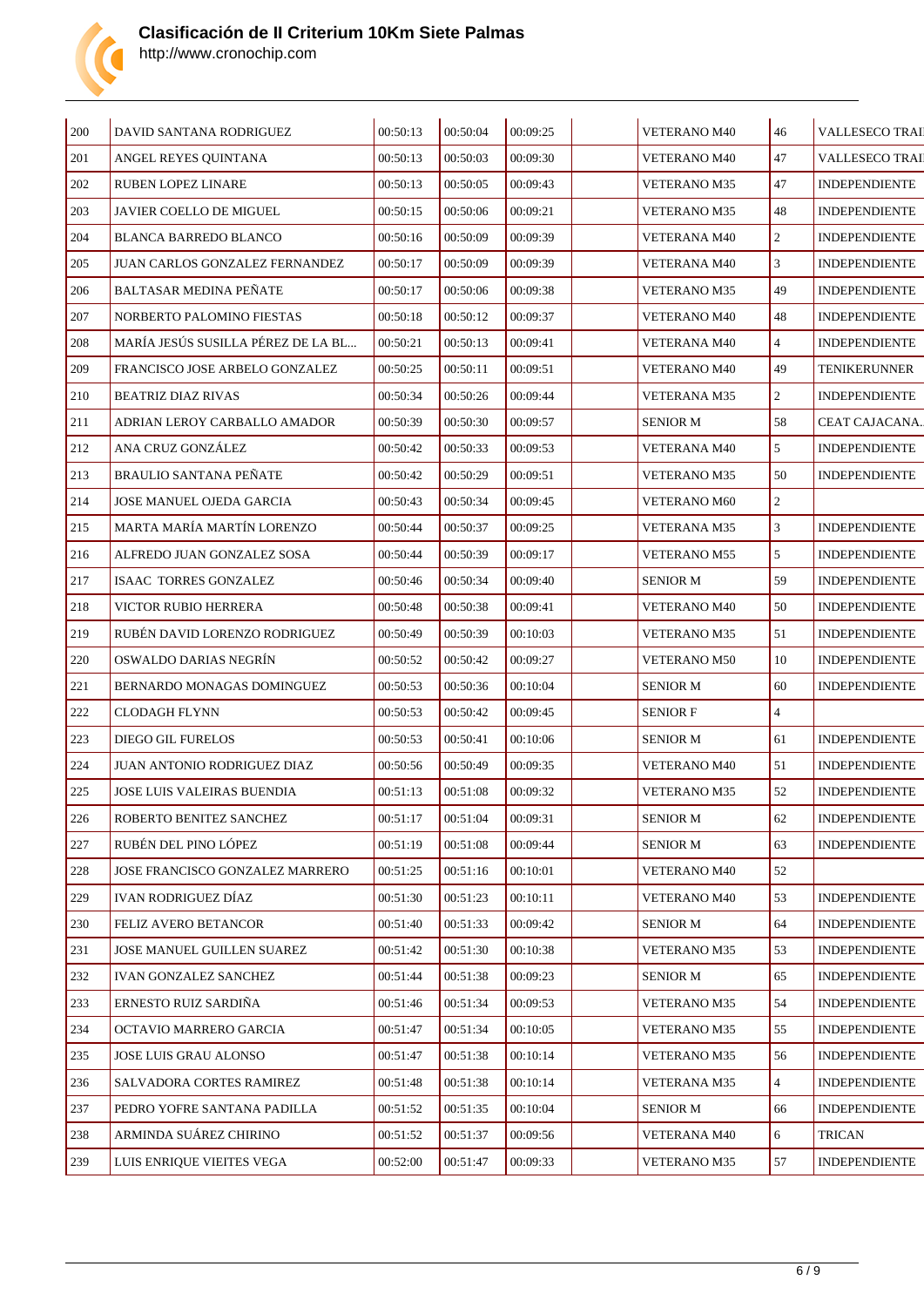

| 200     | DAVID SANTANA RODRIGUEZ            | 00:50:13 | 00:50:04 | 00:09:25 | VETERANO M40        | 46             | <b>VALLESECO TRAI</b> |
|---------|------------------------------------|----------|----------|----------|---------------------|----------------|-----------------------|
| 201     | ANGEL REYES QUINTANA               | 00:50:13 | 00:50:03 | 00:09:30 | VETERANO M40        | 47             | <b>VALLESECO TRAI</b> |
| 202     | <b>RUBEN LOPEZ LINARE</b>          | 00:50:13 | 00:50:05 | 00:09:43 | <b>VETERANO M35</b> | 47             | <b>INDEPENDIENTE</b>  |
| 203     | <b>JAVIER COELLO DE MIGUEL</b>     | 00:50:15 | 00:50:06 | 00:09:21 | <b>VETERANO M35</b> | 48             | <b>INDEPENDIENTE</b>  |
| 204     | <b>BLANCA BARREDO BLANCO</b>       | 00:50:16 | 00:50:09 | 00:09:39 | <b>VETERANA M40</b> | $\overline{2}$ | <b>INDEPENDIENTE</b>  |
| 205     | JUAN CARLOS GONZALEZ FERNANDEZ     | 00:50:17 | 00:50:09 | 00:09:39 | <b>VETERANA M40</b> | 3              | <b>INDEPENDIENTE</b>  |
| 206     | <b>BALTASAR MEDINA PEÑATE</b>      | 00:50:17 | 00:50:06 | 00:09:38 | <b>VETERANO M35</b> | 49             | <b>INDEPENDIENTE</b>  |
| 207     | NORBERTO PALOMINO FIESTAS          | 00:50:18 | 00:50:12 | 00:09:37 | <b>VETERANO M40</b> | 48             | <b>INDEPENDIENTE</b>  |
| 208     | MARÍA JESÚS SUSILLA PÉREZ DE LA BL | 00:50:21 | 00:50:13 | 00:09:41 | <b>VETERANA M40</b> | $\overline{4}$ | <b>INDEPENDIENTE</b>  |
| 209     | FRANCISCO JOSE ARBELO GONZALEZ     | 00:50:25 | 00:50:11 | 00:09:51 | <b>VETERANO M40</b> | 49             | TENIKERUNNER          |
| 210     | BEATRIZ DIAZ RIVAS                 | 00:50:34 | 00:50:26 | 00:09:44 | <b>VETERANA M35</b> | $\overline{2}$ | <b>INDEPENDIENTE</b>  |
| 211     | ADRIAN LEROY CARBALLO AMADOR       | 00:50:39 | 00:50:30 | 00:09:57 | <b>SENIOR M</b>     | 58             | CEAT CAJACANA.        |
| 212     | ANA CRUZ GONZÁLEZ                  | 00:50:42 | 00:50:33 | 00:09:53 | <b>VETERANA M40</b> | 5              | <b>INDEPENDIENTE</b>  |
| 213     | <b>BRAULIO SANTANA PEÑATE</b>      | 00:50:42 | 00:50:29 | 00:09:51 | <b>VETERANO M35</b> | 50             | <b>INDEPENDIENTE</b>  |
| 214     | JOSE MANUEL OJEDA GARCIA           | 00:50:43 | 00:50:34 | 00:09:45 | <b>VETERANO M60</b> | $\overline{c}$ |                       |
| $215\,$ | MARTA MARÍA MARTÍN LORENZO         | 00:50:44 | 00:50:37 | 00:09:25 | <b>VETERANA M35</b> | $\mathfrak{Z}$ | <b>INDEPENDIENTE</b>  |
| 216     | ALFREDO JUAN GONZALEZ SOSA         | 00:50:44 | 00:50:39 | 00:09:17 | <b>VETERANO M55</b> | 5              | <b>INDEPENDIENTE</b>  |
| 217     | ISAAC TORRES GONZALEZ              | 00:50:46 | 00:50:34 | 00:09:40 | <b>SENIOR M</b>     | 59             | <b>INDEPENDIENTE</b>  |
| 218     | VICTOR RUBIO HERRERA               | 00:50:48 | 00:50:38 | 00:09:41 | <b>VETERANO M40</b> | 50             | <b>INDEPENDIENTE</b>  |
| 219     | RUBÉN DAVID LORENZO RODRIGUEZ      | 00:50:49 | 00:50:39 | 00:10:03 | <b>VETERANO M35</b> | 51             | <b>INDEPENDIENTE</b>  |
| 220     | OSWALDO DARIAS NEGRÍN              | 00:50:52 | 00:50:42 | 00:09:27 | <b>VETERANO M50</b> | 10             | <b>INDEPENDIENTE</b>  |
| 221     | BERNARDO MONAGAS DOMINGUEZ         | 00:50:53 | 00:50:36 | 00:10:04 | <b>SENIOR M</b>     | 60             | <b>INDEPENDIENTE</b>  |
| 222     | CLODAGH FLYNN                      | 00:50:53 | 00:50:42 | 00:09:45 | <b>SENIOR F</b>     | $\overline{4}$ |                       |
| 223     | DIEGO GIL FURELOS                  | 00:50:53 | 00:50:41 | 00:10:06 | <b>SENIOR M</b>     | 61             | <b>INDEPENDIENTE</b>  |
| 224     | JUAN ANTONIO RODRIGUEZ DIAZ        | 00:50:56 | 00:50:49 | 00:09:35 | <b>VETERANO M40</b> | 51             | <b>INDEPENDIENTE</b>  |
| 225     | JOSE LUIS VALEIRAS BUENDIA         | 00:51:13 | 00:51:08 | 00:09:32 | <b>VETERANO M35</b> | 52             | <b>INDEPENDIENTE</b>  |
| 226     | ROBERTO BENITEZ SANCHEZ            | 00:51:17 | 00:51:04 | 00:09:31 | <b>SENIOR M</b>     | 62             | <b>INDEPENDIENTE</b>  |
| $227\,$ | RUBÉN DEL PINO LÓPEZ               | 00:51:19 | 00:51:08 | 00:09:44 | <b>SENIOR M</b>     | 63             | <b>INDEPENDIENTE</b>  |
| 228     | JOSE FRANCISCO GONZALEZ MARRERO    | 00:51:25 | 00:51:16 | 00:10:01 | <b>VETERANO M40</b> | 52             |                       |
| 229     | IVAN RODRIGUEZ DÍAZ                | 00:51:30 | 00:51:23 | 00:10:11 | <b>VETERANO M40</b> | 53             | <b>INDEPENDIENTE</b>  |
| 230     | FELIZ AVERO BETANCOR               | 00:51:40 | 00:51:33 | 00:09:42 | <b>SENIOR M</b>     | 64             | <b>INDEPENDIENTE</b>  |
| 231     | JOSE MANUEL GUILLEN SUAREZ         | 00:51:42 | 00:51:30 | 00:10:38 | <b>VETERANO M35</b> | 53             | <b>INDEPENDIENTE</b>  |
| 232     | <b>IVAN GONZALEZ SANCHEZ</b>       | 00:51:44 | 00:51:38 | 00:09:23 | <b>SENIOR M</b>     | 65             | <b>INDEPENDIENTE</b>  |
| 233     | ERNESTO RUIZ SARDIÑA               | 00:51:46 | 00:51:34 | 00:09:53 | <b>VETERANO M35</b> | 54             | <b>INDEPENDIENTE</b>  |
| 234     | OCTAVIO MARRERO GARCIA             | 00:51:47 | 00:51:34 | 00:10:05 | <b>VETERANO M35</b> | 55             | <b>INDEPENDIENTE</b>  |
| 235     | JOSE LUIS GRAU ALONSO              | 00:51:47 | 00:51:38 | 00:10:14 | VETERANO M35        | 56             | <b>INDEPENDIENTE</b>  |
| 236     | SALVADORA CORTES RAMIREZ           | 00:51:48 | 00:51:38 | 00:10:14 | <b>VETERANA M35</b> | $\overline{4}$ | <b>INDEPENDIENTE</b>  |
| 237     | PEDRO YOFRE SANTANA PADILLA        | 00:51:52 | 00:51:35 | 00:10:04 | <b>SENIOR M</b>     | 66             | <b>INDEPENDIENTE</b>  |
| 238     | ARMINDA SUÁREZ CHIRINO             | 00:51:52 | 00:51:37 | 00:09:56 | VETERANA M40        | 6              | <b>TRICAN</b>         |
| 239     | LUIS ENRIQUE VIEITES VEGA          | 00:52:00 | 00:51:47 | 00:09:33 | <b>VETERANO M35</b> | 57             | <b>INDEPENDIENTE</b>  |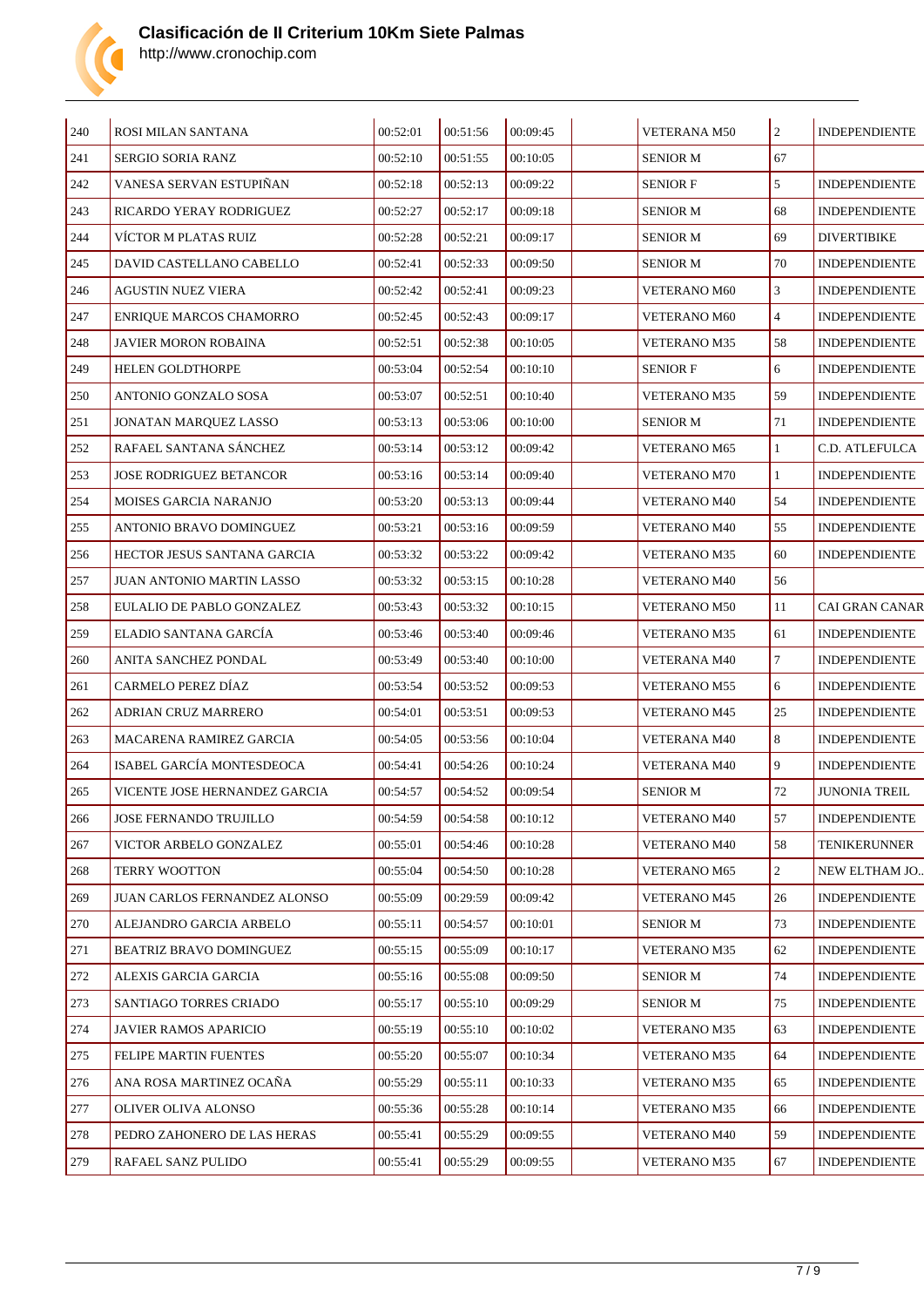

| 240 | ROSI MILAN SANTANA             | 00:52:01 | 00:51:56 | 00:09:45 | VETERANA M50        | $\overline{c}$ | <b>INDEPENDIENTE</b>  |
|-----|--------------------------------|----------|----------|----------|---------------------|----------------|-----------------------|
| 241 | <b>SERGIO SORIA RANZ</b>       | 00:52:10 | 00:51:55 | 00:10:05 | SENIOR M            | 67             |                       |
| 242 | VANESA SERVAN ESTUPIÑAN        | 00:52:18 | 00:52:13 | 00:09:22 | <b>SENIOR F</b>     | 5              | <b>INDEPENDIENTE</b>  |
| 243 | RICARDO YERAY RODRIGUEZ        | 00:52:27 | 00:52:17 | 00:09:18 | <b>SENIOR M</b>     | 68             | <b>INDEPENDIENTE</b>  |
| 244 | VÍCTOR M PLATAS RUIZ           | 00:52:28 | 00:52:21 | 00:09:17 | SENIOR M            | 69             | <b>DIVERTIBIKE</b>    |
| 245 | DAVID CASTELLANO CABELLO       | 00:52:41 | 00:52:33 | 00:09:50 | SENIOR M            | 70             | <b>INDEPENDIENTE</b>  |
| 246 | <b>AGUSTIN NUEZ VIERA</b>      | 00:52:42 | 00:52:41 | 00:09:23 | <b>VETERANO M60</b> | 3              | <b>INDEPENDIENTE</b>  |
| 247 | ENRIQUE MARCOS CHAMORRO        | 00:52:45 | 00:52:43 | 00:09:17 | <b>VETERANO M60</b> | $\overline{4}$ | <b>INDEPENDIENTE</b>  |
| 248 | <b>JAVIER MORON ROBAINA</b>    | 00:52:51 | 00:52:38 | 00:10:05 | <b>VETERANO M35</b> | 58             | <b>INDEPENDIENTE</b>  |
| 249 | <b>HELEN GOLDTHORPE</b>        | 00:53:04 | 00:52:54 | 00:10:10 | <b>SENIOR F</b>     | 6              | <b>INDEPENDIENTE</b>  |
| 250 | ANTONIO GONZALO SOSA           | 00:53:07 | 00:52:51 | 00:10:40 | <b>VETERANO M35</b> | 59             | <b>INDEPENDIENTE</b>  |
| 251 | JONATAN MARQUEZ LASSO          | 00:53:13 | 00:53:06 | 00:10:00 | <b>SENIOR M</b>     | 71             | <b>INDEPENDIENTE</b>  |
| 252 | RAFAEL SANTANA SÁNCHEZ         | 00:53:14 | 00:53:12 | 00:09:42 | <b>VETERANO M65</b> | $\mathbf{1}$   | C.D. ATLEFULCA        |
| 253 | <b>JOSE RODRIGUEZ BETANCOR</b> | 00:53:16 | 00:53:14 | 00:09:40 | <b>VETERANO M70</b> | $\mathbf{1}$   | <b>INDEPENDIENTE</b>  |
| 254 | MOISES GARCIA NARANJO          | 00:53:20 | 00:53:13 | 00:09:44 | <b>VETERANO M40</b> | 54             | <b>INDEPENDIENTE</b>  |
| 255 | ANTONIO BRAVO DOMINGUEZ        | 00:53:21 | 00:53:16 | 00:09:59 | <b>VETERANO M40</b> | 55             | <b>INDEPENDIENTE</b>  |
| 256 | HECTOR JESUS SANTANA GARCIA    | 00:53:32 | 00:53:22 | 00:09:42 | <b>VETERANO M35</b> | 60             | <b>INDEPENDIENTE</b>  |
| 257 | JUAN ANTONIO MARTIN LASSO      | 00:53:32 | 00:53:15 | 00:10:28 | <b>VETERANO M40</b> | 56             |                       |
| 258 | EULALIO DE PABLO GONZALEZ      | 00:53:43 | 00:53:32 | 00:10:15 | <b>VETERANO M50</b> | 11             | <b>CAI GRAN CANAR</b> |
| 259 | ELADIO SANTANA GARCÍA          | 00:53:46 | 00:53:40 | 00:09:46 | <b>VETERANO M35</b> | 61             | <b>INDEPENDIENTE</b>  |
| 260 | ANITA SANCHEZ PONDAL           | 00:53:49 | 00:53:40 | 00:10:00 | <b>VETERANA M40</b> | $\overline{7}$ | <b>INDEPENDIENTE</b>  |
| 261 | CARMELO PEREZ DÍAZ             | 00:53:54 | 00:53:52 | 00:09:53 | <b>VETERANO M55</b> | 6              | <b>INDEPENDIENTE</b>  |
| 262 | ADRIAN CRUZ MARRERO            | 00:54:01 | 00:53:51 | 00:09:53 | <b>VETERANO M45</b> | 25             | <b>INDEPENDIENTE</b>  |
| 263 | <b>MACARENA RAMIREZ GARCIA</b> | 00:54:05 | 00:53:56 | 00:10:04 | <b>VETERANA M40</b> | 8              | <b>INDEPENDIENTE</b>  |
| 264 | ISABEL GARCÍA MONTESDEOCA      | 00:54:41 | 00:54:26 | 00:10:24 | <b>VETERANA M40</b> | 9              | <b>INDEPENDIENTE</b>  |
| 265 | VICENTE JOSE HERNANDEZ GARCIA  | 00:54:57 | 00:54:52 | 00:09:54 | SENIOR M            | 72             | <b>JUNONIA TREIL</b>  |
| 266 | JOSE FERNANDO TRUJILLO         | 00:54:59 | 00:54:58 | 00:10:12 | <b>VETERANO M40</b> | 57             | <b>INDEPENDIENTE</b>  |
| 267 | VICTOR ARBELO GONZALEZ         | 00:55:01 | 00:54:46 | 00:10:28 | <b>VETERANO M40</b> | 58             | TENIKERUNNER          |
| 268 | <b>TERRY WOOTTON</b>           | 00:55:04 | 00:54:50 | 00:10:28 | <b>VETERANO M65</b> | $\overline{c}$ | NEW ELTHAM JO         |
| 269 | JUAN CARLOS FERNANDEZ ALONSO   | 00:55:09 | 00:29:59 | 00:09:42 | <b>VETERANO M45</b> | 26             | <b>INDEPENDIENTE</b>  |
| 270 | ALEJANDRO GARCIA ARBELO        | 00:55:11 | 00:54:57 | 00:10:01 | SENIOR M            | 73             | <b>INDEPENDIENTE</b>  |
| 271 | BEATRIZ BRAVO DOMINGUEZ        | 00:55:15 | 00:55:09 | 00:10:17 | <b>VETERANO M35</b> | 62             | <b>INDEPENDIENTE</b>  |
| 272 | ALEXIS GARCIA GARCIA           | 00:55:16 | 00:55:08 | 00:09:50 | SENIOR M            | 74             | <b>INDEPENDIENTE</b>  |
| 273 | SANTIAGO TORRES CRIADO         | 00:55:17 | 00:55:10 | 00:09:29 | SENIOR M            | 75             | <b>INDEPENDIENTE</b>  |
| 274 | JAVIER RAMOS APARICIO          | 00:55:19 | 00:55:10 | 00:10:02 | <b>VETERANO M35</b> | 63             | <b>INDEPENDIENTE</b>  |
| 275 | FELIPE MARTIN FUENTES          | 00:55:20 | 00:55:07 | 00:10:34 | <b>VETERANO M35</b> | 64             | <b>INDEPENDIENTE</b>  |
| 276 | ANA ROSA MARTINEZ OCAÑA        | 00:55:29 | 00:55:11 | 00:10:33 | <b>VETERANO M35</b> | 65             | <b>INDEPENDIENTE</b>  |
| 277 | OLIVER OLIVA ALONSO            | 00:55:36 | 00:55:28 | 00:10:14 | <b>VETERANO M35</b> | 66             | <b>INDEPENDIENTE</b>  |
| 278 | PEDRO ZAHONERO DE LAS HERAS    | 00:55:41 | 00:55:29 | 00:09:55 | <b>VETERANO M40</b> | 59             | <b>INDEPENDIENTE</b>  |
| 279 | RAFAEL SANZ PULIDO             | 00:55:41 | 00:55:29 | 00:09:55 | VETERANO M35        | 67             | <b>INDEPENDIENTE</b>  |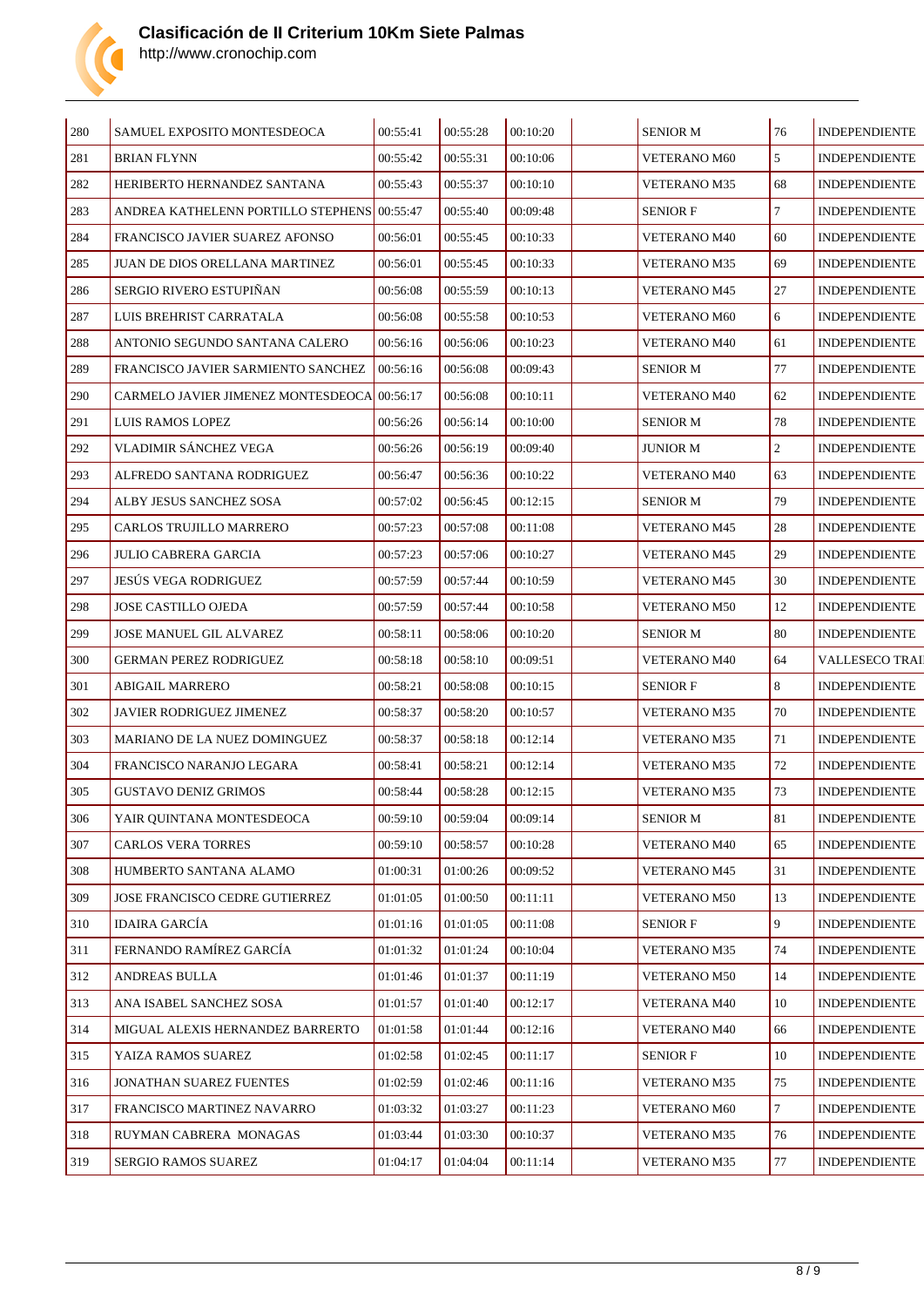

| 280 | SAMUEL EXPOSITO MONTESDEOCA                  | 00:55:41 | 00:55:28 | 00:10:20 | <b>SENIOR M</b>     | 76             | <b>INDEPENDIENTE</b>  |
|-----|----------------------------------------------|----------|----------|----------|---------------------|----------------|-----------------------|
| 281 | <b>BRIAN FLYNN</b>                           | 00:55:42 | 00:55:31 | 00:10:06 | VETERANO M60        | 5              | <b>INDEPENDIENTE</b>  |
| 282 | HERIBERTO HERNANDEZ SANTANA                  | 00:55:43 | 00:55:37 | 00:10:10 | <b>VETERANO M35</b> | 68             | <b>INDEPENDIENTE</b>  |
| 283 | ANDREA KATHELENN PORTILLO STEPHENS           | 00:55:47 | 00:55:40 | 00:09:48 | <b>SENIOR F</b>     | $\tau$         | <b>INDEPENDIENTE</b>  |
| 284 | FRANCISCO JAVIER SUAREZ AFONSO               | 00:56:01 | 00:55:45 | 00:10:33 | <b>VETERANO M40</b> | 60             | <b>INDEPENDIENTE</b>  |
| 285 | JUAN DE DIOS ORELLANA MARTINEZ               | 00:56:01 | 00:55:45 | 00:10:33 | <b>VETERANO M35</b> | 69             | <b>INDEPENDIENTE</b>  |
| 286 | <b>SERGIO RIVERO ESTUPINAN</b>               | 00:56:08 | 00:55:59 | 00:10:13 | <b>VETERANO M45</b> | 27             | <b>INDEPENDIENTE</b>  |
| 287 | LUIS BREHRIST CARRATALA                      | 00:56:08 | 00:55:58 | 00:10:53 | <b>VETERANO M60</b> | 6              | <b>INDEPENDIENTE</b>  |
| 288 | ANTONIO SEGUNDO SANTANA CALERO               | 00:56:16 | 00:56:06 | 00:10:23 | <b>VETERANO M40</b> | 61             | <b>INDEPENDIENTE</b>  |
| 289 | FRANCISCO JAVIER SARMIENTO SANCHEZ           | 00:56:16 | 00:56:08 | 00:09:43 | <b>SENIOR M</b>     | 77             | <b>INDEPENDIENTE</b>  |
| 290 | CARMELO JAVIER JIMENEZ MONTESDEOCA  00:56:17 |          | 00:56:08 | 00:10:11 | <b>VETERANO M40</b> | 62             | <b>INDEPENDIENTE</b>  |
| 291 | LUIS RAMOS LOPEZ                             | 00:56:26 | 00:56:14 | 00:10:00 | <b>SENIOR M</b>     | 78             | <b>INDEPENDIENTE</b>  |
| 292 | VLADIMIR SÁNCHEZ VEGA                        | 00:56:26 | 00:56:19 | 00:09:40 | <b>JUNIOR M</b>     | $\overline{2}$ | <b>INDEPENDIENTE</b>  |
| 293 | ALFREDO SANTANA RODRIGUEZ                    | 00:56:47 | 00:56:36 | 00:10:22 | VETERANO M40        | 63             | <b>INDEPENDIENTE</b>  |
| 294 | ALBY JESUS SANCHEZ SOSA                      | 00:57:02 | 00:56:45 | 00:12:15 | <b>SENIOR M</b>     | 79             | <b>INDEPENDIENTE</b>  |
| 295 | CARLOS TRUJILLO MARRERO                      | 00:57:23 | 00:57:08 | 00:11:08 | <b>VETERANO M45</b> | 28             | <b>INDEPENDIENTE</b>  |
| 296 | <b>JULIO CABRERA GARCIA</b>                  | 00:57:23 | 00:57:06 | 00:10:27 | <b>VETERANO M45</b> | 29             | <b>INDEPENDIENTE</b>  |
| 297 | JESÚS VEGA RODRIGUEZ                         | 00:57:59 | 00:57:44 | 00:10:59 | <b>VETERANO M45</b> | 30             | <b>INDEPENDIENTE</b>  |
| 298 | <b>JOSE CASTILLO OJEDA</b>                   | 00:57:59 | 00:57:44 | 00:10:58 | <b>VETERANO M50</b> | 12             | <b>INDEPENDIENTE</b>  |
| 299 | JOSE MANUEL GIL ALVAREZ                      | 00:58:11 | 00:58:06 | 00:10:20 | <b>SENIOR M</b>     | 80             | <b>INDEPENDIENTE</b>  |
| 300 | GERMAN PEREZ RODRIGUEZ                       | 00:58:18 | 00:58:10 | 00:09:51 | <b>VETERANO M40</b> | 64             | <b>VALLESECO TRAI</b> |
| 301 | ABIGAIL MARRERO                              | 00:58:21 | 00:58:08 | 00:10:15 | <b>SENIOR F</b>     | 8              | <b>INDEPENDIENTE</b>  |
| 302 | JAVIER RODRIGUEZ JIMENEZ                     | 00:58:37 | 00:58:20 | 00:10:57 | <b>VETERANO M35</b> | 70             | <b>INDEPENDIENTE</b>  |
| 303 | MARIANO DE LA NUEZ DOMINGUEZ                 | 00:58:37 | 00:58:18 | 00:12:14 | <b>VETERANO M35</b> | 71             | <b>INDEPENDIENTE</b>  |
| 304 | FRANCISCO NARANJO LEGARA                     | 00:58:41 | 00:58:21 | 00:12:14 | <b>VETERANO M35</b> | 72             | <b>INDEPENDIENTE</b>  |
| 305 | <b>GUSTAVO DENIZ GRIMOS</b>                  | 00:58:44 | 00:58:28 | 00:12:15 | <b>VETERANO M35</b> | 73             | <b>INDEPENDIENTE</b>  |
| 306 | YAIR QUINTANA MONTESDEOCA                    | 00:59:10 | 00:59:04 | 00:09:14 | <b>SENIOR M</b>     | 81             | <b>INDEPENDIENTE</b>  |
| 307 | <b>CARLOS VERA TORRES</b>                    | 00:59:10 | 00:58:57 | 00:10:28 | VETERANO M40        | 65             | <b>INDEPENDIENTE</b>  |
| 308 | HUMBERTO SANTANA ALAMO                       | 01:00:31 | 01:00:26 | 00:09:52 | <b>VETERANO M45</b> | 31             | <b>INDEPENDIENTE</b>  |
| 309 | JOSE FRANCISCO CEDRE GUTIERREZ               | 01:01:05 | 01:00:50 | 00:11:11 | <b>VETERANO M50</b> | 13             | <b>INDEPENDIENTE</b>  |
| 310 | <b>IDAIRA GARCÍA</b>                         | 01:01:16 | 01:01:05 | 00:11:08 | <b>SENIOR F</b>     | 9              | <b>INDEPENDIENTE</b>  |
| 311 | FERNANDO RAMÍREZ GARCÍA                      | 01:01:32 | 01:01:24 | 00:10:04 | VETERANO M35        | 74             | <b>INDEPENDIENTE</b>  |
| 312 | <b>ANDREAS BULLA</b>                         | 01:01:46 | 01:01:37 | 00:11:19 | VETERANO M50        | 14             | <b>INDEPENDIENTE</b>  |
| 313 | ANA ISABEL SANCHEZ SOSA                      | 01:01:57 | 01:01:40 | 00:12:17 | VETERANA M40        | 10             | <b>INDEPENDIENTE</b>  |
| 314 | MIGUAL ALEXIS HERNANDEZ BARRERTO             | 01:01:58 | 01:01:44 | 00:12:16 | <b>VETERANO M40</b> | 66             | <b>INDEPENDIENTE</b>  |
| 315 | YAIZA RAMOS SUAREZ                           | 01:02:58 | 01:02:45 | 00:11:17 | <b>SENIOR F</b>     | 10             | <b>INDEPENDIENTE</b>  |
| 316 | JONATHAN SUAREZ FUENTES                      | 01:02:59 | 01:02:46 | 00:11:16 | <b>VETERANO M35</b> | 75             | <b>INDEPENDIENTE</b>  |
| 317 | FRANCISCO MARTINEZ NAVARRO                   | 01:03:32 | 01:03:27 | 00:11:23 | VETERANO M60        | $\tau$         | <b>INDEPENDIENTE</b>  |
| 318 | RUYMAN CABRERA MONAGAS                       | 01:03:44 | 01:03:30 | 00:10:37 | VETERANO M35        | 76             | <b>INDEPENDIENTE</b>  |
| 319 | SERGIO RAMOS SUAREZ                          | 01:04:17 | 01:04:04 | 00:11:14 | VETERANO M35        | 77             | <b>INDEPENDIENTE</b>  |